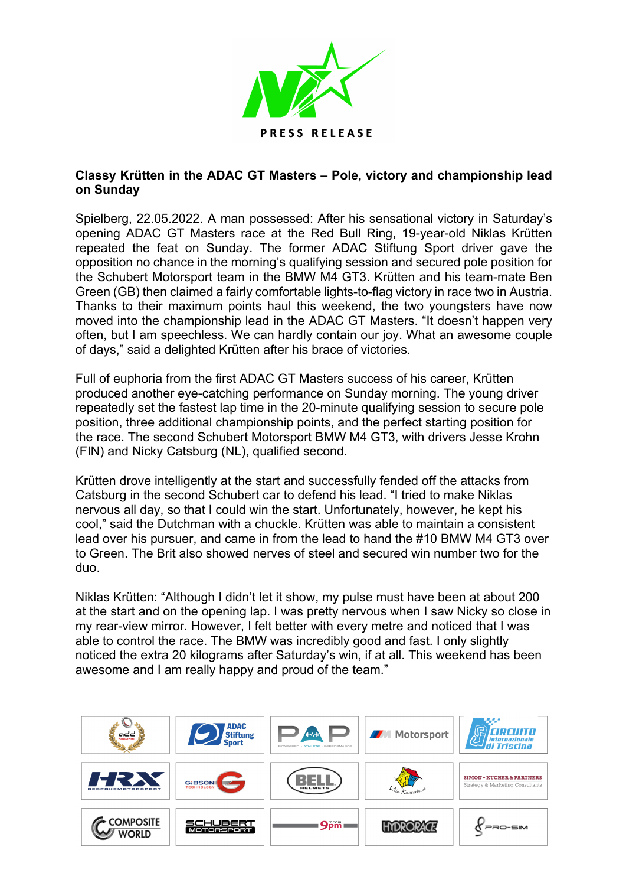

## **Classy Krütten in the ADAC GT Masters – Pole, victory and championship lead on Sunday**

Spielberg, 22.05.2022. A man possessed: After his sensational victory in Saturday's opening ADAC GT Masters race at the Red Bull Ring, 19-year-old Niklas Krütten repeated the feat on Sunday. The former ADAC Stiftung Sport driver gave the opposition no chance in the morning's qualifying session and secured pole position for the Schubert Motorsport team in the BMW M4 GT3. Krütten and his team-mate Ben Green (GB) then claimed a fairly comfortable lights-to-flag victory in race two in Austria. Thanks to their maximum points haul this weekend, the two youngsters have now moved into the championship lead in the ADAC GT Masters. "It doesn't happen very often, but I am speechless. We can hardly contain our joy. What an awesome couple of days," said a delighted Krütten after his brace of victories.

Full of euphoria from the first ADAC GT Masters success of his career, Krütten produced another eye-catching performance on Sunday morning. The young driver repeatedly set the fastest lap time in the 20-minute qualifying session to secure pole position, three additional championship points, and the perfect starting position for the race. The second Schubert Motorsport BMW M4 GT3, with drivers Jesse Krohn (FIN) and Nicky Catsburg (NL), qualified second.

Krütten drove intelligently at the start and successfully fended off the attacks from Catsburg in the second Schubert car to defend his lead. "I tried to make Niklas nervous all day, so that I could win the start. Unfortunately, however, he kept his cool," said the Dutchman with a chuckle. Krütten was able to maintain a consistent lead over his pursuer, and came in from the lead to hand the #10 BMW M4 GT3 over to Green. The Brit also showed nerves of steel and secured win number two for the duo.

Niklas Krütten: "Although I didn't let it show, my pulse must have been at about 200 at the start and on the opening lap. I was pretty nervous when I saw Nicky so close in my rear-view mirror. However, I felt better with every metre and noticed that I was able to control the race. The BMW was incredibly good and fast. I only slightly noticed the extra 20 kilograms after Saturday's win, if at all. This weekend has been awesome and I am really happy and proud of the team."